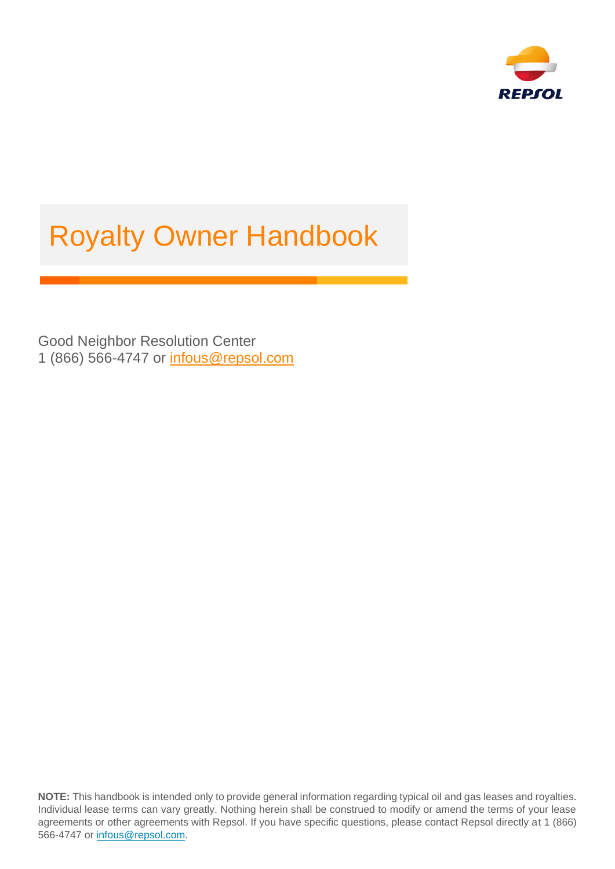

# Royalty Owner Handbook

Good Neighbor Resolution Center 1 (866) 566-4747 or [infous@repsol.com](mailto:infous@repsol.com)

**NOTE:** This handbook is intended only to provide general information regarding typical oil and gas leases and royalties. Individual lease terms can vary greatly. Nothing herein shall be construed to modify or amend the terms of your lease agreements or other agreements with Repsol. If you have specific questions, please contact Repsol directly at 1 (866) 566-4747 or [infous@repsol.com.](mailto:infous@repsol.com)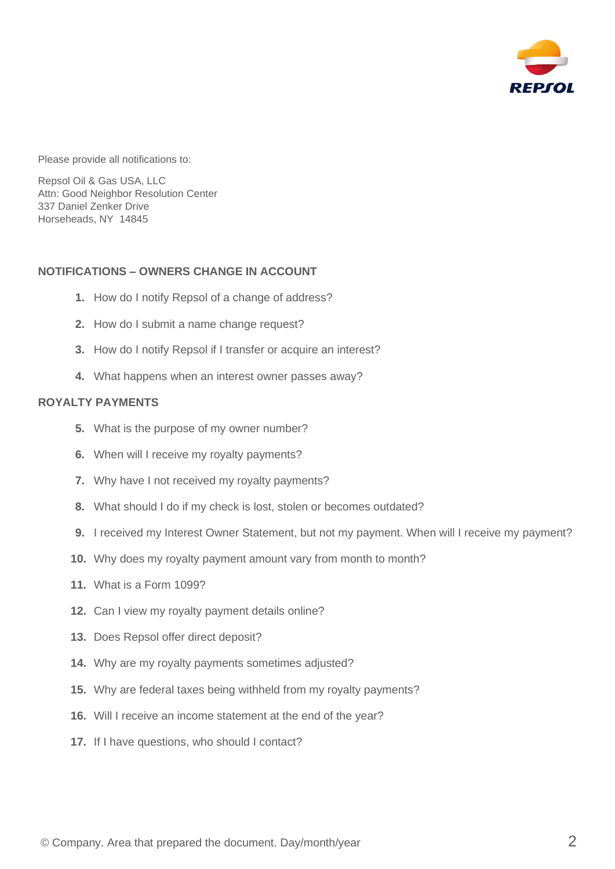

Please provide all notifications to:

Repsol Oil & Gas USA, LLC Attn: Good Neighbor Resolution Center 337 Daniel Zenker Drive Horseheads, NY 14845

# **NOTIFICATIONS – OWNERS CHANGE IN ACCOUNT**

- **1.** How do I notify Repsol of a change of address?
- **2.** How do I submit a name change request?
- **3.** How do I notify Repsol if I transfer or acquire an interest?
- **4.** What happens when an interest owner passes away?

# **ROYALTY PAYMENTS**

- **5.** What is the purpose of my owner number?
- **6.** When will I receive my royalty payments?
- **7.** Why have I not received my royalty payments?
- **8.** What should I do if my check is lost, stolen or becomes outdated?
- **9.** I received my Interest Owner Statement, but not my payment. When will I receive my payment?
- **10.** Why does my royalty payment amount vary from month to month?
- **11.** What is a Form 1099?
- **12.** Can I view my royalty payment details online?
- **13.** Does Repsol offer direct deposit?
- **14.** Why are my royalty payments sometimes adjusted?
- **15.** Why are federal taxes being withheld from my royalty payments?
- **16.** Will I receive an income statement at the end of the year?
- **17.** If I have questions, who should I contact?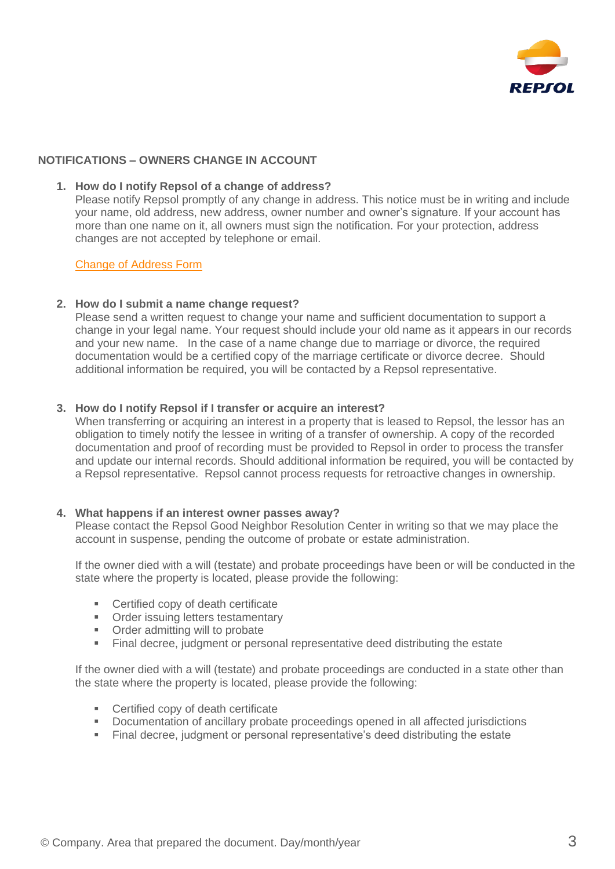

# **NOTIFICATIONS – OWNERS CHANGE IN ACCOUNT**

# **1. How do I notify Repsol of a change of address?**

Please notify Repsol promptly of any change in address. This notice must be in writing and include your name, old address, new address, owner number and owner's signature. If your account has more than one name on it, all owners must sign the notification. For your protection, address changes are not accepted by telephone or email.

# [Change of Address Form](https://www.repsol.us/imagenes/repsolporus/en/Repsol%20Change%20of%20Address%20Form%202021_tcm93-76663.pdf)

# **2. How do I submit a name change request?**

Please send a written request to change your name and sufficient documentation to support a change in your legal name. Your request should include your old name as it appears in our records and your new name. In the case of a name change due to marriage or divorce, the required documentation would be a certified copy of the marriage certificate or divorce decree. Should additional information be required, you will be contacted by a Repsol representative.

# **3. How do I notify Repsol if I transfer or acquire an interest?**

When transferring or acquiring an interest in a property that is leased to Repsol, the lessor has an obligation to timely notify the lessee in writing of a transfer of ownership. A copy of the recorded documentation and proof of recording must be provided to Repsol in order to process the transfer and update our internal records. Should additional information be required, you will be contacted by a Repsol representative. Repsol cannot process requests for retroactive changes in ownership.

#### **4. What happens if an interest owner passes away?**

Please contact the Repsol Good Neighbor Resolution Center in writing so that we may place the account in suspense, pending the outcome of probate or estate administration.

If the owner died with a will (testate) and probate proceedings have been or will be conducted in the state where the property is located, please provide the following:

- Certified copy of death certificate
- Order issuing letters testamentary
- Order admitting will to probate
- Final decree, judgment or personal representative deed distributing the estate

If the owner died with a will (testate) and probate proceedings are conducted in a state other than the state where the property is located, please provide the following:

- Certified copy of death certificate
- Documentation of ancillary probate proceedings opened in all affected jurisdictions
- Final decree, judgment or personal representative's deed distributing the estate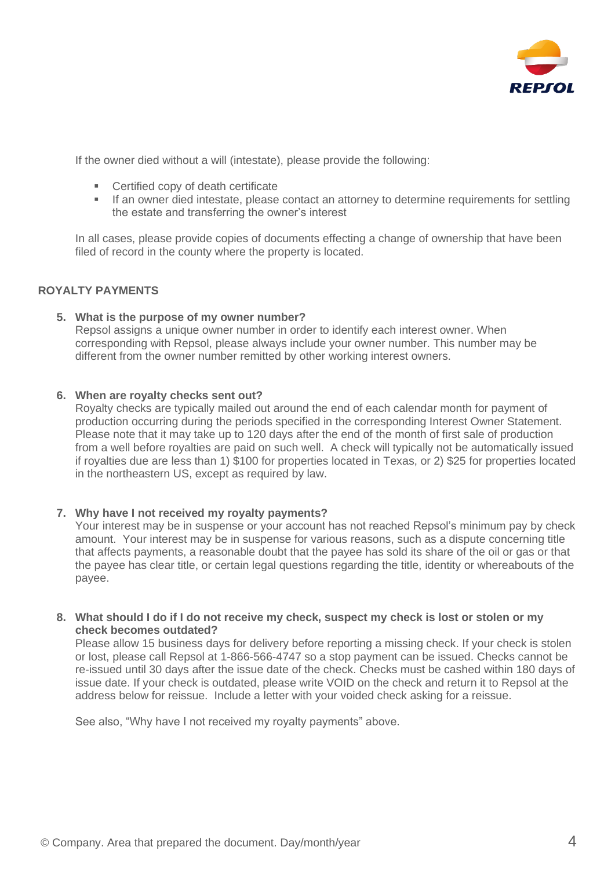

If the owner died without a will (intestate), please provide the following:

- Certified copy of death certificate
- **■** If an owner died intestate, please contact an attorney to determine requirements for settling the estate and transferring the owner's interest

In all cases, please provide copies of documents effecting a change of ownership that have been filed of record in the county where the property is located.

# **ROYALTY PAYMENTS**

# **5. What is the purpose of my owner number?**

Repsol assigns a unique owner number in order to identify each interest owner. When corresponding with Repsol, please always include your owner number. This number may be different from the owner number remitted by other working interest owners.

# **6. When are royalty checks sent out?**

Royalty checks are typically mailed out around the end of each calendar month for payment of production occurring during the periods specified in the corresponding Interest Owner Statement. Please note that it may take up to 120 days after the end of the month of first sale of production from a well before royalties are paid on such well. A check will typically not be automatically issued if royalties due are less than 1) \$100 for properties located in Texas, or 2) \$25 for properties located in the northeastern US, except as required by law.

# **7. Why have I not received my royalty payments?**

Your interest may be in suspense or your account has not reached Repsol's minimum pay by check amount. Your interest may be in suspense for various reasons, such as a dispute concerning title that affects payments, a reasonable doubt that the payee has sold its share of the oil or gas or that the payee has clear title, or certain legal questions regarding the title, identity or whereabouts of the payee.

# **8. What should I do if I do not receive my check, suspect my check is lost or stolen or my check becomes outdated?**

Please allow 15 business days for delivery before reporting a missing check. If your check is stolen or lost, please call Repsol at 1-866-566-4747 so a stop payment can be issued. Checks cannot be re-issued until 30 days after the issue date of the check. Checks must be cashed within 180 days of issue date. If your check is outdated, please write VOID on the check and return it to Repsol at the address below for reissue. Include a letter with your voided check asking for a reissue.

See also, "Why have I not received my royalty payments" above.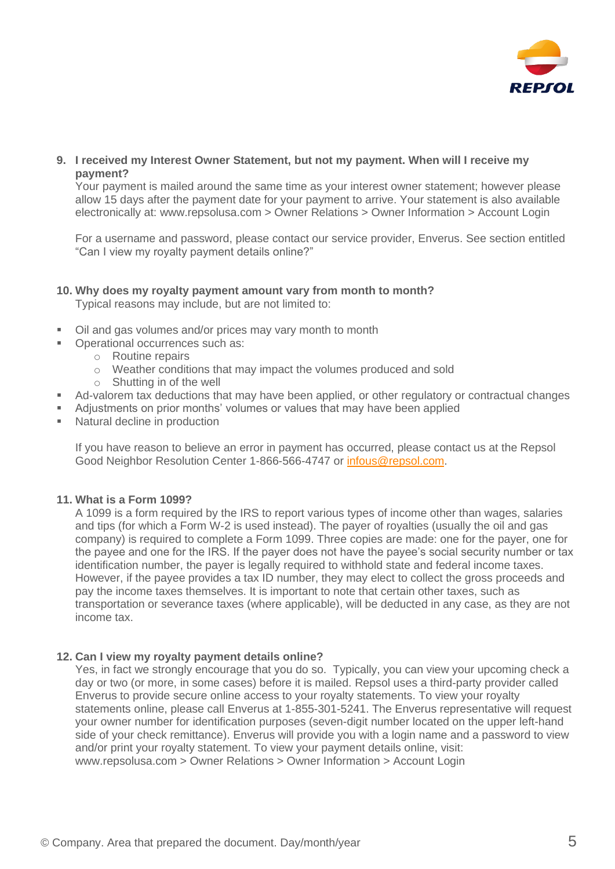

**9. I received my Interest Owner Statement, but not my payment. When will I receive my payment?**

Your payment is mailed around the same time as your interest owner statement; however please allow 15 days after the payment date for your payment to arrive. Your statement is also available electronically at: www.repsolusa.com > Owner Relations > Owner Information > Account Login

For a username and password, please contact our service provider, Enverus. See section entitled "Can I view my royalty payment details online?"

# **10. Why does my royalty payment amount vary from month to month?**

Typical reasons may include, but are not limited to:

- Oil and gas volumes and/or prices may vary month to month
- Operational occurrences such as:
	- o Routine repairs
	- o Weather conditions that may impact the volumes produced and sold
	- o Shutting in of the well
- Ad-valorem tax deductions that may have been applied, or other regulatory or contractual changes
- Adjustments on prior months' volumes or values that may have been applied
- Natural decline in production

If you have reason to believe an error in payment has occurred, please contact us at the Repsol Good Neighbor Resolution Center 1-866-566-4747 or [infous@repsol.com.](mailto:infous@repsol.com)

# **11. What is a Form 1099?**

A 1099 is a form required by the IRS to report various types of income other than wages, salaries and tips (for which a Form W-2 is used instead). The payer of royalties (usually the oil and gas company) is required to complete a Form 1099. Three copies are made: one for the payer, one for the payee and one for the IRS. If the payer does not have the payee's social security number or tax identification number, the payer is legally required to withhold state and federal income taxes. However, if the payee provides a tax ID number, they may elect to collect the gross proceeds and pay the income taxes themselves. It is important to note that certain other taxes, such as transportation or severance taxes (where applicable), will be deducted in any case, as they are not income tax.

#### **12. Can I view my royalty payment details online?**

Yes, in fact we strongly encourage that you do so. Typically, you can view your upcoming check a day or two (or more, in some cases) before it is mailed. Repsol uses a third-party provider called Enverus to provide secure online access to your royalty statements. To view your royalty statements online, please call Enverus at 1-855-301-5241. The Enverus representative will request your owner number for identification purposes (seven-digit number located on the upper left-hand side of your check remittance). Enverus will provide you with a login name and a password to view and/or print your royalty statement. To view your payment details online, visit: www.repsolusa.com > Owner Relations > Owner Information > Account Login